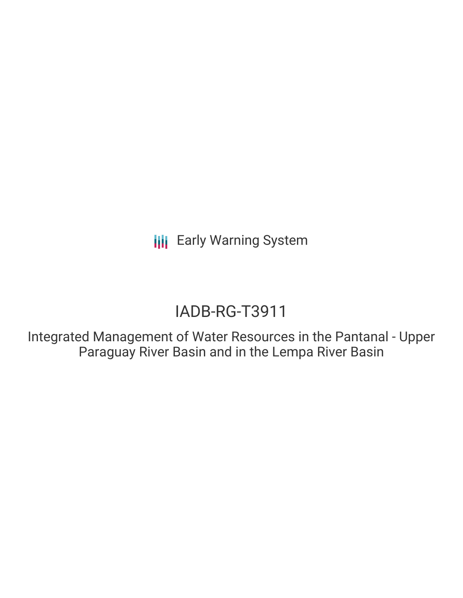**III** Early Warning System

# IADB-RG-T3911

Integrated Management of Water Resources in the Pantanal - Upper Paraguay River Basin and in the Lempa River Basin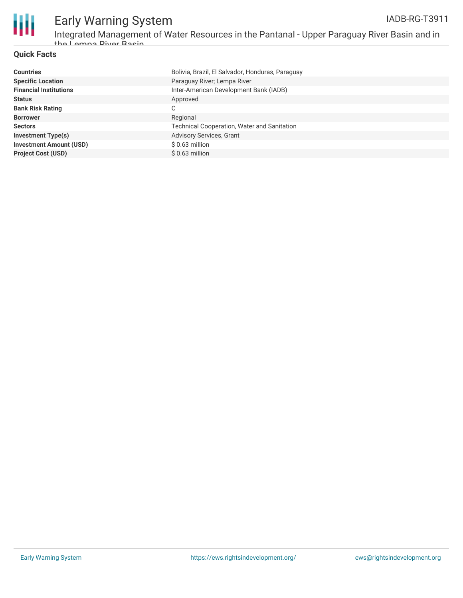

### **Quick Facts**

| <b>Countries</b>               | Bolivia, Brazil, El Salvador, Honduras, Paraguay   |
|--------------------------------|----------------------------------------------------|
| <b>Specific Location</b>       | Paraguay River; Lempa River                        |
| <b>Financial Institutions</b>  | Inter-American Development Bank (IADB)             |
| <b>Status</b>                  | Approved                                           |
| <b>Bank Risk Rating</b>        | C                                                  |
| <b>Borrower</b>                | Regional                                           |
| <b>Sectors</b>                 | <b>Technical Cooperation, Water and Sanitation</b> |
| <b>Investment Type(s)</b>      | Advisory Services, Grant                           |
| <b>Investment Amount (USD)</b> | $$0.63$ million                                    |
| <b>Project Cost (USD)</b>      | $$0.63$ million                                    |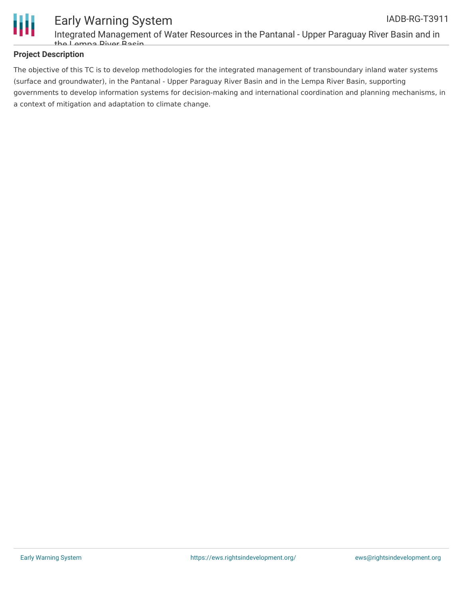

### **Project Description**

The objective of this TC is to develop methodologies for the integrated management of transboundary inland water systems (surface and groundwater), in the Pantanal - Upper Paraguay River Basin and in the Lempa River Basin, supporting governments to develop information systems for decision-making and international coordination and planning mechanisms, in a context of mitigation and adaptation to climate change.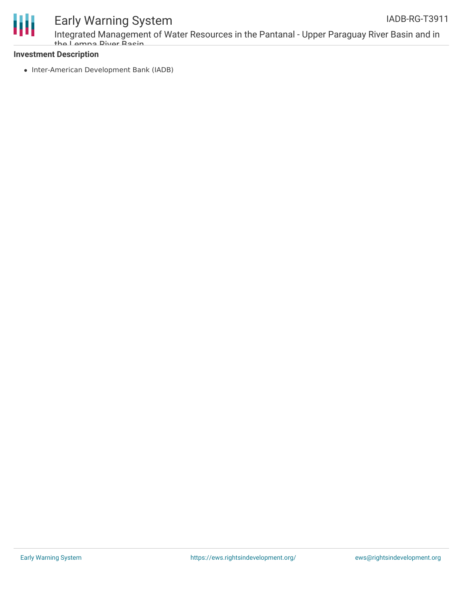

## Early Warning System

Integrated Management of Water Resources in the Pantanal - Upper Paraguay River Basin and in the Lempa River Basin

### **Investment Description**

• Inter-American Development Bank (IADB)